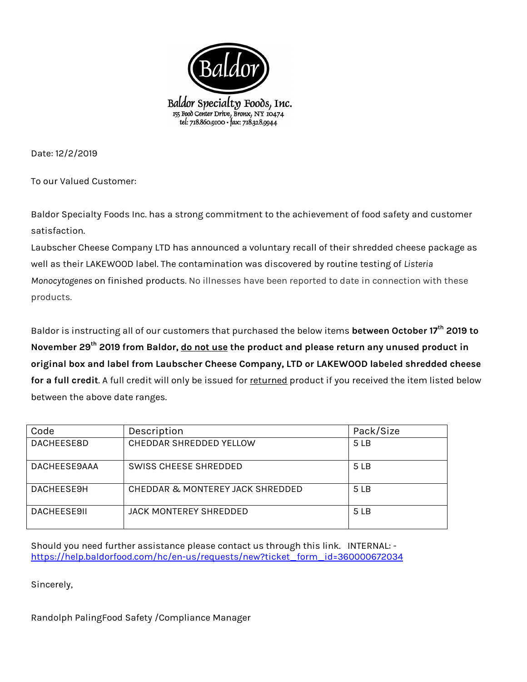

Date: 12/2/2019

To our Valued Customer:

Baldor Specialty Foods Inc. has a strong commitment to the achievement of food safety and customer satisfaction.

Laubscher Cheese Company LTD has announced a voluntary recall of their shredded cheese package as well as their LAKEWOOD label. The contamination was discovered by routine testing of *Listeria Monocytogenes* on finished products. No illnesses have been reported to date in connection with these products.

Baldor is instructing all of our customers that purchased the below items **between October 17th 2019 to November 29th 2019 from Baldor, do not use the product and please return any unused product in original box and label from Laubscher Cheese Company, LTD or LAKEWOOD labeled shredded cheese**  for a full credit. A full credit will only be issued for returned product if you received the item listed below between the above date ranges.

| Code               | Description                      | Pack/Size |
|--------------------|----------------------------------|-----------|
| <b>DACHEESE8D</b>  | CHEDDAR SHREDDED YELLOW          | 5 LB      |
| DACHEESE9AAA       | SWISS CHEESE SHREDDED            | 5 LB      |
| DACHEESE9H         | CHEDDAR & MONTEREY JACK SHREDDED | 5 LB      |
| <b>DACHEFSE9IL</b> | <b>JACK MONTEREY SHREDDED</b>    | 5 LB      |

Should you need further assistance please contact us through this link. INTERNAL: [https://help.baldorfood.com/hc/en-us/requests/new?ticket\\_form\\_id=360000672034](https://help.baldorfood.com/hc/en-us/requests/new?ticket_form_id=360000672034)

Sincerely,

Randolph PalingFood Safety /Compliance Manager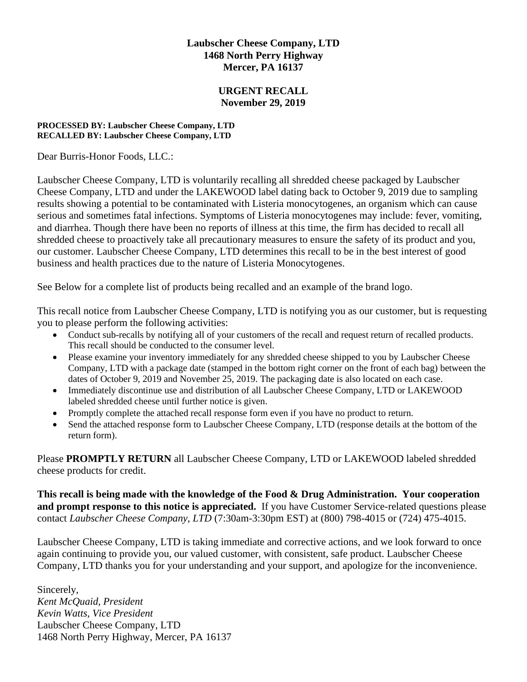## **Laubscher Cheese Company, LTD 1468 North Perry Highway Mercer, PA 16137**

## **URGENT RECALL November 29, 2019**

#### **PROCESSED BY: Laubscher Cheese Company, LTD RECALLED BY: Laubscher Cheese Company, LTD**

Dear Burris-Honor Foods, LLC.:

Laubscher Cheese Company, LTD is voluntarily recalling all shredded cheese packaged by Laubscher Cheese Company, LTD and under the LAKEWOOD label dating back to October 9, 2019 due to sampling results showing a potential to be contaminated with Listeria monocytogenes, an organism which can cause serious and sometimes fatal infections. Symptoms of Listeria monocytogenes may include: fever, vomiting, and diarrhea. Though there have been no reports of illness at this time, the firm has decided to recall all shredded cheese to proactively take all precautionary measures to ensure the safety of its product and you, our customer. Laubscher Cheese Company, LTD determines this recall to be in the best interest of good business and health practices due to the nature of Listeria Monocytogenes.

See Below for a complete list of products being recalled and an example of the brand logo.

This recall notice from Laubscher Cheese Company, LTD is notifying you as our customer, but is requesting you to please perform the following activities:

- Conduct sub-recalls by notifying all of your customers of the recall and request return of recalled products. This recall should be conducted to the consumer level.
- Please examine your inventory immediately for any shredded cheese shipped to you by Laubscher Cheese Company, LTD with a package date (stamped in the bottom right corner on the front of each bag) between the dates of October 9, 2019 and November 25, 2019. The packaging date is also located on each case.
- Immediately discontinue use and distribution of all Laubscher Cheese Company, LTD or LAKEWOOD labeled shredded cheese until further notice is given.
- Promptly complete the attached recall response form even if you have no product to return.
- Send the attached response form to Laubscher Cheese Company, LTD (response details at the bottom of the return form).

Please **PROMPTLY RETURN** all Laubscher Cheese Company, LTD or LAKEWOOD labeled shredded cheese products for credit.

**This recall is being made with the knowledge of the Food & Drug Administration. Your cooperation and prompt response to this notice is appreciated.** If you have Customer Service-related questions please contact *Laubscher Cheese Company, LTD* (7:30am-3:30pm EST) at (800) 798-4015 or (724) 475-4015.

Laubscher Cheese Company, LTD is taking immediate and corrective actions, and we look forward to once again continuing to provide you, our valued customer, with consistent, safe product. Laubscher Cheese Company, LTD thanks you for your understanding and your support, and apologize for the inconvenience.

Sincerely, *Kent McQuaid, President Kevin Watts, Vice President* Laubscher Cheese Company, LTD 1468 North Perry Highway, Mercer, PA 16137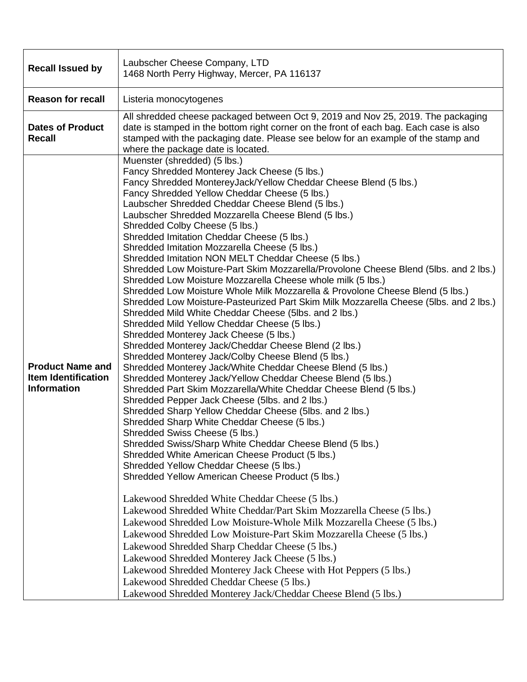| <b>Recall Issued by</b>                                                     | Laubscher Cheese Company, LTD<br>1468 North Perry Highway, Mercer, PA 116137                                                                                                                                                                                                                                                                                                                                                                                                                                                                                                                                                                                                                                                                                                                                                                                                                                                                                                                                                                                                                                                                                                                                                                                                                                                                                                                                                                                                                                                                                                                                                                                                                                                                                                                                                                                                                                                                                                                                                                                                                                                                                                                                                                                                            |  |
|-----------------------------------------------------------------------------|-----------------------------------------------------------------------------------------------------------------------------------------------------------------------------------------------------------------------------------------------------------------------------------------------------------------------------------------------------------------------------------------------------------------------------------------------------------------------------------------------------------------------------------------------------------------------------------------------------------------------------------------------------------------------------------------------------------------------------------------------------------------------------------------------------------------------------------------------------------------------------------------------------------------------------------------------------------------------------------------------------------------------------------------------------------------------------------------------------------------------------------------------------------------------------------------------------------------------------------------------------------------------------------------------------------------------------------------------------------------------------------------------------------------------------------------------------------------------------------------------------------------------------------------------------------------------------------------------------------------------------------------------------------------------------------------------------------------------------------------------------------------------------------------------------------------------------------------------------------------------------------------------------------------------------------------------------------------------------------------------------------------------------------------------------------------------------------------------------------------------------------------------------------------------------------------------------------------------------------------------------------------------------------------|--|
| <b>Reason for recall</b>                                                    | Listeria monocytogenes                                                                                                                                                                                                                                                                                                                                                                                                                                                                                                                                                                                                                                                                                                                                                                                                                                                                                                                                                                                                                                                                                                                                                                                                                                                                                                                                                                                                                                                                                                                                                                                                                                                                                                                                                                                                                                                                                                                                                                                                                                                                                                                                                                                                                                                                  |  |
| <b>Dates of Product</b><br><b>Recall</b>                                    | All shredded cheese packaged between Oct 9, 2019 and Nov 25, 2019. The packaging<br>date is stamped in the bottom right corner on the front of each bag. Each case is also<br>stamped with the packaging date. Please see below for an example of the stamp and<br>where the package date is located.                                                                                                                                                                                                                                                                                                                                                                                                                                                                                                                                                                                                                                                                                                                                                                                                                                                                                                                                                                                                                                                                                                                                                                                                                                                                                                                                                                                                                                                                                                                                                                                                                                                                                                                                                                                                                                                                                                                                                                                   |  |
| <b>Product Name and</b><br><b>Item Identification</b><br><b>Information</b> | Muenster (shredded) (5 lbs.)<br>Fancy Shredded Monterey Jack Cheese (5 lbs.)<br>Fancy Shredded MontereyJack/Yellow Cheddar Cheese Blend (5 lbs.)<br>Fancy Shredded Yellow Cheddar Cheese (5 lbs.)<br>Laubscher Shredded Cheddar Cheese Blend (5 lbs.)<br>Laubscher Shredded Mozzarella Cheese Blend (5 lbs.)<br>Shredded Colby Cheese (5 lbs.)<br>Shredded Imitation Cheddar Cheese (5 lbs.)<br>Shredded Imitation Mozzarella Cheese (5 lbs.)<br>Shredded Imitation NON MELT Cheddar Cheese (5 lbs.)<br>Shredded Low Moisture-Part Skim Mozzarella/Provolone Cheese Blend (5lbs. and 2 lbs.)<br>Shredded Low Moisture Mozzarella Cheese whole milk (5 lbs.)<br>Shredded Low Moisture Whole Milk Mozzarella & Provolone Cheese Blend (5 lbs.)<br>Shredded Low Moisture-Pasteurized Part Skim Milk Mozzarella Cheese (5lbs. and 2 lbs.)<br>Shredded Mild White Cheddar Cheese (5lbs. and 2 lbs.)<br>Shredded Mild Yellow Cheddar Cheese (5 lbs.)<br>Shredded Monterey Jack Cheese (5 lbs.)<br>Shredded Monterey Jack/Cheddar Cheese Blend (2 lbs.)<br>Shredded Monterey Jack/Colby Cheese Blend (5 lbs.)<br>Shredded Monterey Jack/White Cheddar Cheese Blend (5 lbs.)<br>Shredded Monterey Jack/Yellow Cheddar Cheese Blend (5 lbs.)<br>Shredded Part Skim Mozzarella/White Cheddar Cheese Blend (5 lbs.)<br>Shredded Pepper Jack Cheese (5lbs. and 2 lbs.)<br>Shredded Sharp Yellow Cheddar Cheese (5lbs. and 2 lbs.)<br>Shredded Sharp White Cheddar Cheese (5 lbs.)<br>Shredded Swiss Cheese (5 lbs.)<br>Shredded Swiss/Sharp White Cheddar Cheese Blend (5 lbs.)<br>Shredded White American Cheese Product (5 lbs.)<br>Shredded Yellow Cheddar Cheese (5 lbs.)<br>Shredded Yellow American Cheese Product (5 lbs.)<br>Lakewood Shredded White Cheddar Cheese (5 lbs.)<br>Lakewood Shredded White Cheddar/Part Skim Mozzarella Cheese (5 lbs.)<br>Lakewood Shredded Low Moisture-Whole Milk Mozzarella Cheese (5 lbs.)<br>Lakewood Shredded Low Moisture-Part Skim Mozzarella Cheese (5 lbs.)<br>Lakewood Shredded Sharp Cheddar Cheese (5 lbs.)<br>Lakewood Shredded Monterey Jack Cheese (5 lbs.)<br>Lakewood Shredded Monterey Jack Cheese with Hot Peppers (5 lbs.)<br>Lakewood Shredded Cheddar Cheese (5 lbs.)<br>Lakewood Shredded Monterey Jack/Cheddar Cheese Blend (5 lbs.) |  |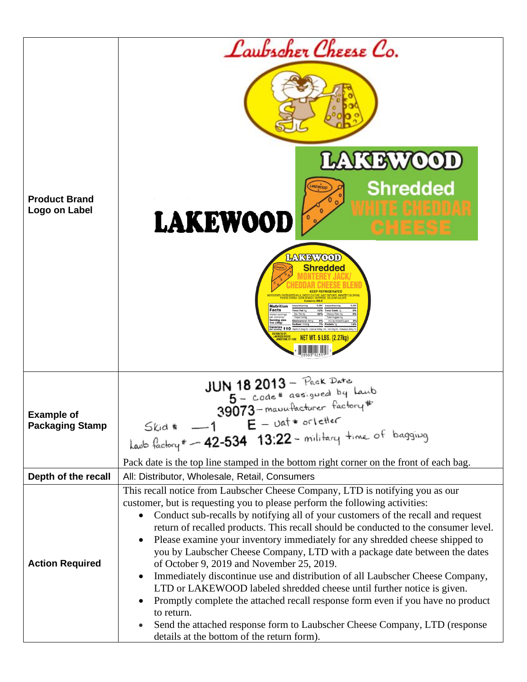